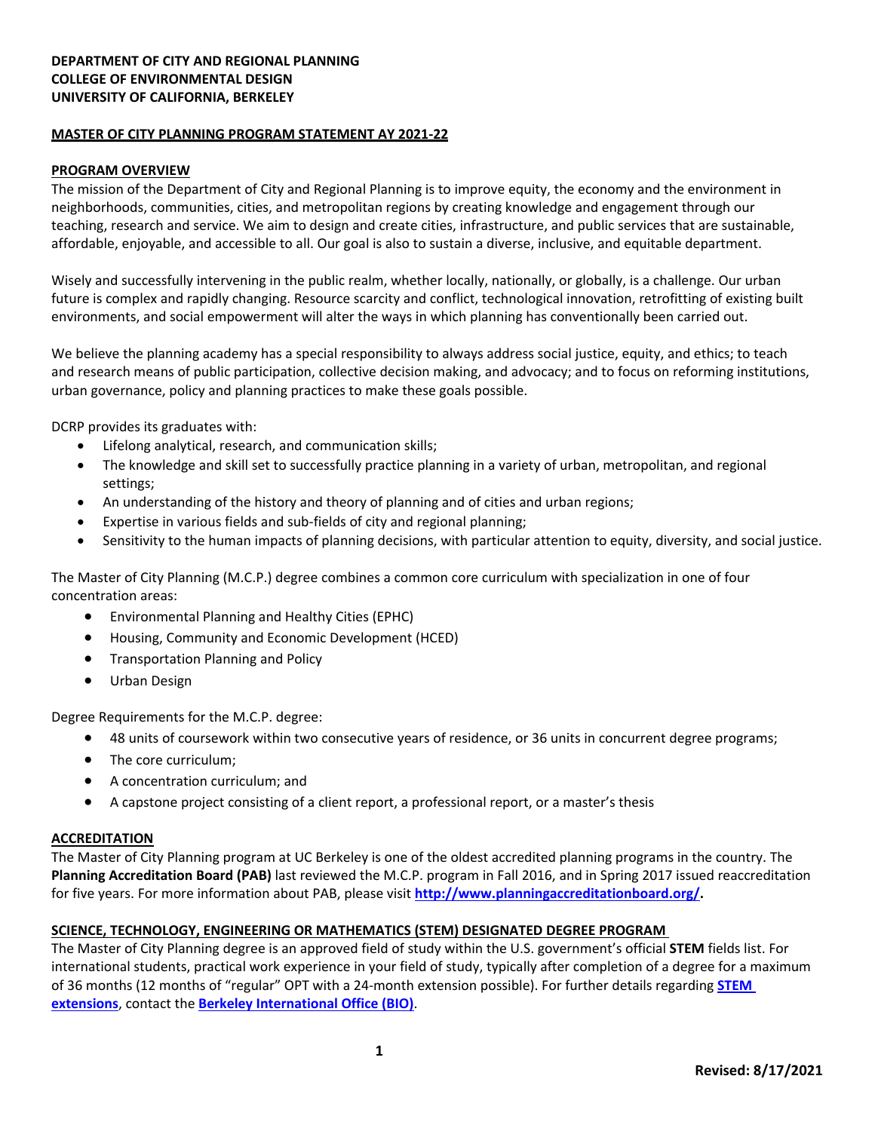#### **MASTER OF CITY PLANNING PROGRAM STATEMENT AY 2021-22**

#### **PROGRAM OVERVIEW**

The mission of the Department of City and Regional Planning is to improve equity, the economy and the environment in neighborhoods, communities, cities, and metropolitan regions by creating knowledge and engagement through our teaching, research and service. We aim to design and create cities, infrastructure, and public services that are sustainable, affordable, enjoyable, and accessible to all. Our goal is also to sustain a diverse, inclusive, and equitable department.

Wisely and successfully intervening in the public realm, whether locally, nationally, or globally, is a challenge. Our urban future is complex and rapidly changing. Resource scarcity and conflict, technological innovation, retrofitting of existing built environments, and social empowerment will alter the ways in which planning has conventionally been carried out.

We believe the planning academy has a special responsibility to always address social justice, equity, and ethics; to teach and research means of public participation, collective decision making, and advocacy; and to focus on reforming institutions, urban governance, policy and planning practices to make these goals possible.

DCRP provides its graduates with:

- Lifelong analytical, research, and communication skills;
- The knowledge and skill set to successfully practice planning in a variety of urban, metropolitan, and regional settings;
- An understanding of the history and theory of planning and of cities and urban regions;
- Expertise in various fields and sub-fields of city and regional planning;
- Sensitivity to the human impacts of planning decisions, with particular attention to equity, diversity, and social justice.

The Master of City Planning (M.C.P.) degree combines a common core curriculum with specialization in one of four concentration areas:

- Environmental Planning and Healthy Cities (EPHC)
- Housing, Community and Economic Development (HCED)
- Transportation Planning and Policy
- Urban Design

Degree Requirements for the M.C.P. degree:

- 48 units of coursework within two consecutive years of residence, or 36 units in concurrent degree programs;
- The core curriculum;
- A concentration curriculum; and
- A capstone project consisting of a client report, a professional report, or a master's thesis

#### **ACCREDITATION**

The Master of City Planning program at UC Berkeley is one of the oldest accredited planning programs in the country. The **Planning Accreditation Board (PAB)** last reviewed the M.C.P. program in Fall 2016, and in Spring 2017 issued reaccreditation for five years. For more information about PAB, please visit **[http://www.planningaccreditationboard.org/.](http://www.planningaccreditationboard.org/)**

#### **SCIENCE, TECHNOLOGY, ENGINEERING OR MATHEMATICS (STEM) DESIGNATED DEGREE PROGRAM**

The Master of City Planning degree is an approved field of study within the U.S. government's official **STEM** fields list. For international students, practical work experience in your field of study, typically after completion of a degree for a maximum of 36 months (12 months of "regular" OPT with a 24-month extension possible). For further details regarding **[STEM](https://internationaloffice.berkeley.edu/students/employment/stemopt)  [extensions](https://internationaloffice.berkeley.edu/students/employment/stemopt)**, contact the **[Berkeley International Office \(BIO\)](https://internationaloffice.berkeley.edu/contact-us)**.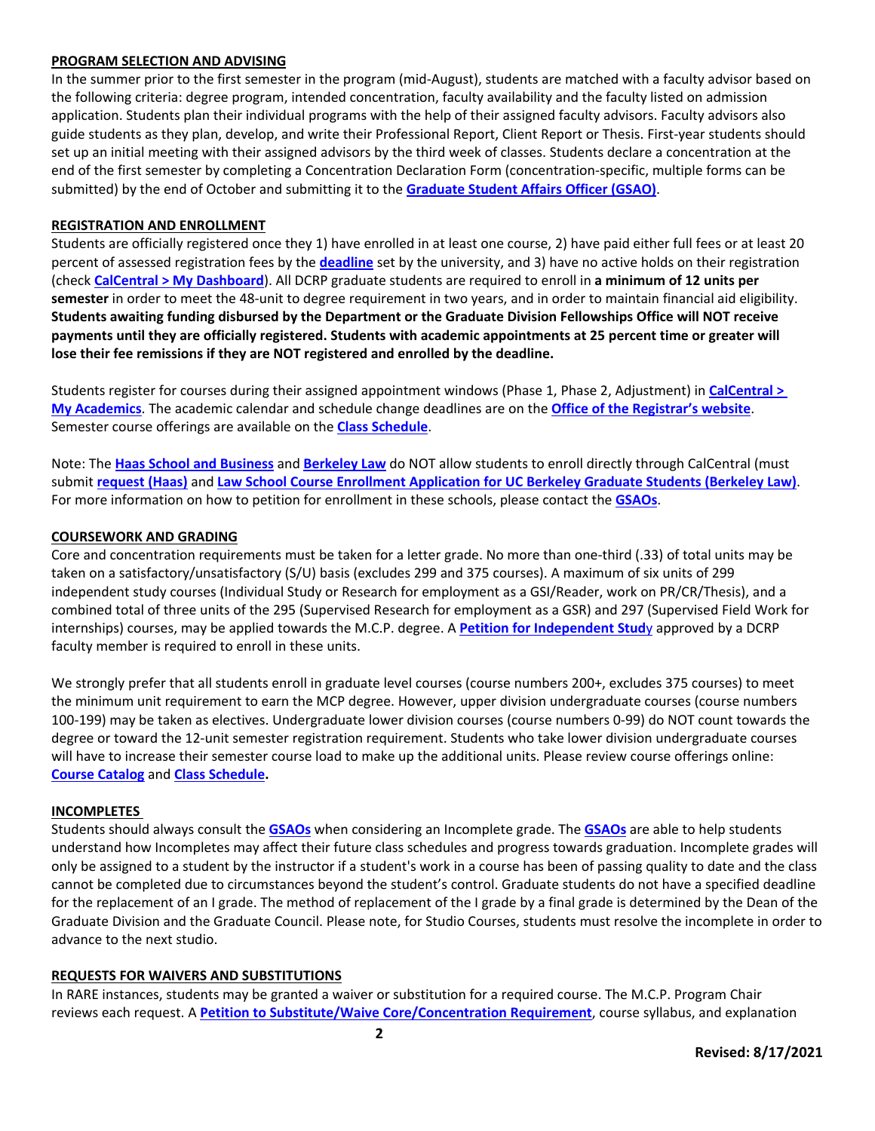#### **PROGRAM SELECTION AND ADVISING**

In the summer prior to the first semester in the program (mid-August), students are matched with a faculty advisor based on the following criteria: degree program, intended concentration, faculty availability and the faculty listed on admission application. Students plan their individual programs with the help of their assigned faculty advisors. Faculty advisors also guide students as they plan, develop, and write their Professional Report, Client Report or Thesis. First-year students should set up an initial meeting with their assigned advisors by the third week of classes. Students declare a concentration at the end of the first semester by completing a Concentration Declaration Form (concentration-specific, multiple forms can be submitted) by the end of October and submitting it to the **[Graduate Student Affairs Officer \(GSAO\)](mailto:dcrpgrad@berkeley.edu)**.

#### **REGISTRATION AND ENROLLMENT**

Students are officially registered once they 1) have enrolled in at least one course, 2) have paid either full fees or at least 20 percent of assessed registration fees by the **[deadline](https://registrar.berkeley.edu/tuition-fees-residency/tuition-fees/fee-schedule)** set by the university, and 3) have no active holds on their registration (check **[CalCentral > My Dashboard](https://calcentral.berkeley.edu/dashboard)**). All DCRP graduate students are required to enroll in **a minimum of 12 units per semester** in order to meet the 48-unit to degree requirement in two years, and in order to maintain financial aid eligibility. **Students awaiting funding disbursed by the Department or the Graduate Division Fellowships Office will NOT receive payments until they are officially registered. Students with academic appointments at 25 percent time or greater will lose their fee remissions if they are NOT registered and enrolled by the deadline.**

Students register for courses during their assigned appointment windows (Phase 1, Phase 2, Adjustment) in **[CalCentral >](https://calcentral.berkeley.edu/academics)  [My Academics](https://calcentral.berkeley.edu/academics)**. The academic calendar and schedule change deadlines are on the **[Office of the Registrar's website](http://registrar.berkeley.edu/)**. Semester course offerings are available on the **[Class Schedule](https://classes.berkeley.edu/)**.

Note: The **[Haas School and Business](https://courses.haas.berkeley.edu/Schedule/Schedule?strParams=Fall:2021:%25)** and **[Berkeley Law](https://www.law.berkeley.edu/php-programs/courses/courseSearch.php)** do NOT allow students to enroll directly through CalCentral (must submit **[request \(Haas\)](https://mba.haas.berkeley.edu/academics/non-mba)** and **[Law School Course Enrollment Application for UC Berkeley Graduate Students \(Berkeley Law\)](https://www.law.berkeley.edu/academics/registrar/forms/)**. For more information on how to petition for enrollment in these schools, please contact the **[GSAOs](mailto:dcrpgrad@berkeley.edu)**.

#### **COURSEWORK AND GRADING**

Core and concentration requirements must be taken for a letter grade. No more than one-third (.33) of total units may be taken on a satisfactory/unsatisfactory (S/U) basis (excludes 299 and 375 courses). A maximum of six units of 299 independent study courses (Individual Study or Research for employment as a GSI/Reader, work on PR/CR/Thesis), and a combined total of three units of the 295 (Supervised Research for employment as a GSR) and 297 (Supervised Field Work for internships) courses, may be applied towards the M.C.P. degree. A **[Petition for Independent Stud](https://ced.berkeley.edu/images/uploads/content/MCP_Petition_for_Independent_Study_Course.pdf)**y approved by a DCRP faculty member is required to enroll in these units.

We strongly prefer that all students enroll in graduate level courses (course numbers 200+, excludes 375 courses) to meet the minimum unit requirement to earn the MCP degree. However, upper division undergraduate courses (course numbers 100-199) may be taken as electives. Undergraduate lower division courses (course numbers 0-99) do NOT count towards the degree or toward the 12-unit semester registration requirement. Students who take lower division undergraduate courses will have to increase their semester course load to make up the additional units. Please review course offerings online: **[Course Catalog](http://guide.berkeley.edu/courses/)** and **[Class Schedule.](https://classes.berkeley.edu/)**

#### **INCOMPLETES**

Students should always consult the **[GSAOs](mailto:dcrpgrad@berkeley.edu)** when considering an Incomplete grade. The **[GSAOs](mailto:dcrpgrad@berkeley.edu)** are able to help students understand how Incompletes may affect their future class schedules and progress towards graduation. Incomplete grades will only be assigned to a student by the instructor if a student's work in a course has been of passing quality to date and the class cannot be completed due to circumstances beyond the student's control. Graduate students do not have a specified deadline for the replacement of an I grade. The method of replacement of the I grade by a final grade is determined by the Dean of the Graduate Division and the Graduate Council. Please note, for Studio Courses, students must resolve the incomplete in order to advance to the next studio.

#### **REQUESTS FOR WAIVERS AND SUBSTITUTIONS**

In RARE instances, students may be granted a waiver or substitution for a required course. The M.C.P. Program Chair reviews each request. A **[Petition to Substitute/Waive Core/Concentration Requirement](https://ced.berkeley.edu/images/uploads/content/Petition_to_Substitute_MCP_Core_Concentration_Requirement_2021.pdf)**, course syllabus, and explanation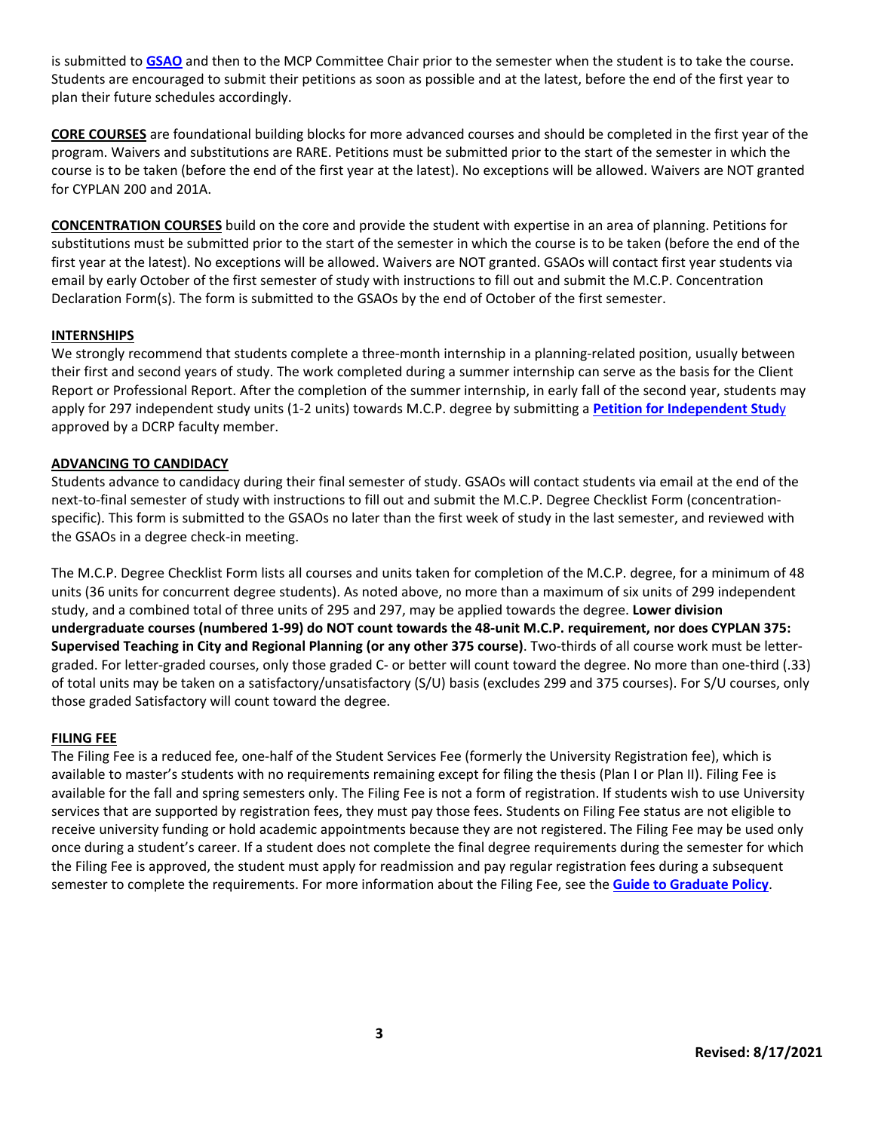is submitted to **[GSAO](mailto:dcrpgrad@berkeley.edu)** and then to the MCP Committee Chair prior to the semester when the student is to take the course. Students are encouraged to submit their petitions as soon as possible and at the latest, before the end of the first year to plan their future schedules accordingly.

**CORE COURSES** are foundational building blocks for more advanced courses and should be completed in the first year of the program. Waivers and substitutions are RARE. Petitions must be submitted prior to the start of the semester in which the course is to be taken (before the end of the first year at the latest). No exceptions will be allowed. Waivers are NOT granted for CYPLAN 200 and 201A.

**CONCENTRATION COURSES** build on the core and provide the student with expertise in an area of planning. Petitions for substitutions must be submitted prior to the start of the semester in which the course is to be taken (before the end of the first year at the latest). No exceptions will be allowed. Waivers are NOT granted. GSAOs will contact first year students via email by early October of the first semester of study with instructions to fill out and submit the M.C.P. Concentration Declaration Form(s). The form is submitted to the GSAOs by the end of October of the first semester.

#### **INTERNSHIPS**

We strongly recommend that students complete a three-month internship in a planning-related position, usually between their first and second years of study. The work completed during a summer internship can serve as the basis for the Client Report or Professional Report. After the completion of the summer internship, in early fall of the second year, students may apply for 297 independent study units (1-2 units) towards M.C.P. degree by submitting a **[Petition for Independent Stud](https://ced.berkeley.edu/images/uploads/content/MCP_Petition_for_Independent_Study_Course.pdf)**y approved by a DCRP faculty member.

#### **ADVANCING TO CANDIDACY**

Students advance to candidacy during their final semester of study. GSAOs will contact students via email at the end of the next-to-final semester of study with instructions to fill out and submit the M.C.P. Degree Checklist Form (concentrationspecific). This form is submitted to the GSAOs no later than the first week of study in the last semester, and reviewed with the GSAOs in a degree check-in meeting.

The M.C.P. Degree Checklist Form lists all courses and units taken for completion of the M.C.P. degree, for a minimum of 48 units (36 units for concurrent degree students). As noted above, no more than a maximum of six units of 299 independent study, and a combined total of three units of 295 and 297, may be applied towards the degree. **Lower division undergraduate courses (numbered 1-99) do NOT count towards the 48-unit M.C.P. requirement, nor does CYPLAN 375: Supervised Teaching in City and Regional Planning (or any other 375 course)**. Two-thirds of all course work must be lettergraded. For letter-graded courses, only those graded C- or better will count toward the degree. No more than one-third (.33) of total units may be taken on a satisfactory/unsatisfactory (S/U) basis (excludes 299 and 375 courses). For S/U courses, only those graded Satisfactory will count toward the degree.

#### **FILING FEE**

The Filing Fee is a reduced fee, one-half of the Student Services Fee (formerly the University Registration fee), which is available to master's students with no requirements remaining except for filing the thesis (Plan I or Plan II). Filing Fee is available for the fall and spring semesters only. The Filing Fee is not a form of registration. If students wish to use University services that are supported by registration fees, they must pay those fees. Students on Filing Fee status are not eligible to receive university funding or hold academic appointments because they are not registered. The Filing Fee may be used only once during a student's career. If a student does not complete the final degree requirements during the semester for which the Filing Fee is approved, the student must apply for readmission and pay regular registration fees during a subsequent semester to complete the requirements. For more information about the Filing Fee, see the **[Guide to Graduate](https://grad.berkeley.edu/policy/registration-and-exchange-programs-policy/#d2-filing-fee) Policy**.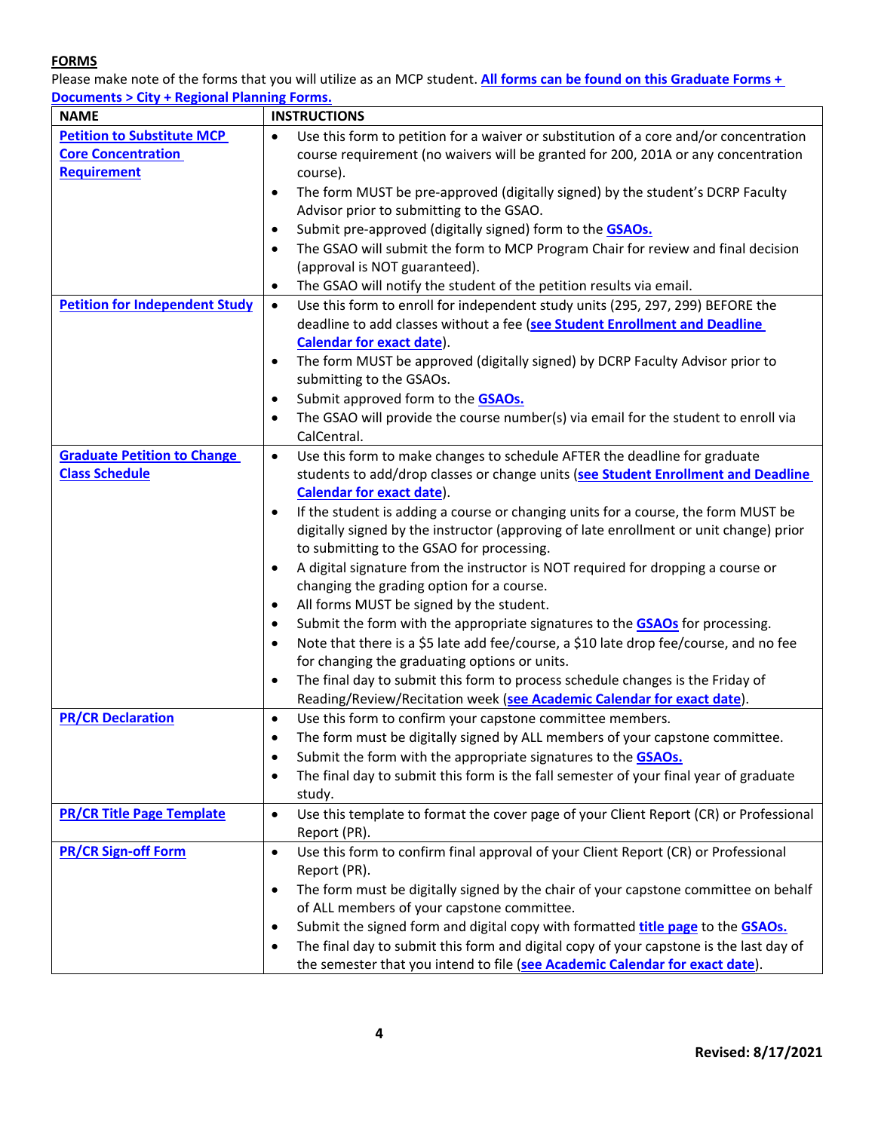## **FORMS**

Please make note of the forms that you will utilize as an MCP student. **[All forms can be found on this Graduate Forms +](https://ced.berkeley.edu/students/graduate-advising/graduate-forms-documents)  [Documents > City + Regional Planning Forms.](https://ced.berkeley.edu/students/graduate-advising/graduate-forms-documents)**

| <b>Petition to Substitute MCP</b><br>Use this form to petition for a waiver or substitution of a core and/or concentration<br><b>Core Concentration</b><br>course requirement (no waivers will be granted for 200, 201A or any concentration<br>Requirement<br>course).<br>The form MUST be pre-approved (digitally signed) by the student's DCRP Faculty<br>Advisor prior to submitting to the GSAO.<br>Submit pre-approved (digitally signed) form to the <b>GSAOs.</b><br>$\bullet$<br>The GSAO will submit the form to MCP Program Chair for review and final decision<br>$\bullet$<br>(approval is NOT guaranteed).<br>The GSAO will notify the student of the petition results via email.<br>٠<br><b>Petition for Independent Study</b><br>Use this form to enroll for independent study units (295, 297, 299) BEFORE the<br>$\bullet$<br>deadline to add classes without a fee (see Student Enrollment and Deadline |
|----------------------------------------------------------------------------------------------------------------------------------------------------------------------------------------------------------------------------------------------------------------------------------------------------------------------------------------------------------------------------------------------------------------------------------------------------------------------------------------------------------------------------------------------------------------------------------------------------------------------------------------------------------------------------------------------------------------------------------------------------------------------------------------------------------------------------------------------------------------------------------------------------------------------------|
|                                                                                                                                                                                                                                                                                                                                                                                                                                                                                                                                                                                                                                                                                                                                                                                                                                                                                                                            |
|                                                                                                                                                                                                                                                                                                                                                                                                                                                                                                                                                                                                                                                                                                                                                                                                                                                                                                                            |
|                                                                                                                                                                                                                                                                                                                                                                                                                                                                                                                                                                                                                                                                                                                                                                                                                                                                                                                            |
|                                                                                                                                                                                                                                                                                                                                                                                                                                                                                                                                                                                                                                                                                                                                                                                                                                                                                                                            |
|                                                                                                                                                                                                                                                                                                                                                                                                                                                                                                                                                                                                                                                                                                                                                                                                                                                                                                                            |
|                                                                                                                                                                                                                                                                                                                                                                                                                                                                                                                                                                                                                                                                                                                                                                                                                                                                                                                            |
|                                                                                                                                                                                                                                                                                                                                                                                                                                                                                                                                                                                                                                                                                                                                                                                                                                                                                                                            |
|                                                                                                                                                                                                                                                                                                                                                                                                                                                                                                                                                                                                                                                                                                                                                                                                                                                                                                                            |
|                                                                                                                                                                                                                                                                                                                                                                                                                                                                                                                                                                                                                                                                                                                                                                                                                                                                                                                            |
|                                                                                                                                                                                                                                                                                                                                                                                                                                                                                                                                                                                                                                                                                                                                                                                                                                                                                                                            |
|                                                                                                                                                                                                                                                                                                                                                                                                                                                                                                                                                                                                                                                                                                                                                                                                                                                                                                                            |
| <b>Calendar for exact date).</b>                                                                                                                                                                                                                                                                                                                                                                                                                                                                                                                                                                                                                                                                                                                                                                                                                                                                                           |
| The form MUST be approved (digitally signed) by DCRP Faculty Advisor prior to                                                                                                                                                                                                                                                                                                                                                                                                                                                                                                                                                                                                                                                                                                                                                                                                                                              |
| submitting to the GSAOs.                                                                                                                                                                                                                                                                                                                                                                                                                                                                                                                                                                                                                                                                                                                                                                                                                                                                                                   |
| Submit approved form to the <b>GSAOs.</b><br>٠                                                                                                                                                                                                                                                                                                                                                                                                                                                                                                                                                                                                                                                                                                                                                                                                                                                                             |
| The GSAO will provide the course number(s) via email for the student to enroll via<br>$\bullet$                                                                                                                                                                                                                                                                                                                                                                                                                                                                                                                                                                                                                                                                                                                                                                                                                            |
| CalCentral.                                                                                                                                                                                                                                                                                                                                                                                                                                                                                                                                                                                                                                                                                                                                                                                                                                                                                                                |
| <b>Graduate Petition to Change</b><br>Use this form to make changes to schedule AFTER the deadline for graduate<br>$\bullet$                                                                                                                                                                                                                                                                                                                                                                                                                                                                                                                                                                                                                                                                                                                                                                                               |
| <b>Class Schedule</b><br>students to add/drop classes or change units (see Student Enrollment and Deadline                                                                                                                                                                                                                                                                                                                                                                                                                                                                                                                                                                                                                                                                                                                                                                                                                 |
| <b>Calendar for exact date).</b>                                                                                                                                                                                                                                                                                                                                                                                                                                                                                                                                                                                                                                                                                                                                                                                                                                                                                           |
| If the student is adding a course or changing units for a course, the form MUST be<br>$\bullet$                                                                                                                                                                                                                                                                                                                                                                                                                                                                                                                                                                                                                                                                                                                                                                                                                            |
| digitally signed by the instructor (approving of late enrollment or unit change) prior                                                                                                                                                                                                                                                                                                                                                                                                                                                                                                                                                                                                                                                                                                                                                                                                                                     |
| to submitting to the GSAO for processing.                                                                                                                                                                                                                                                                                                                                                                                                                                                                                                                                                                                                                                                                                                                                                                                                                                                                                  |
| A digital signature from the instructor is NOT required for dropping a course or                                                                                                                                                                                                                                                                                                                                                                                                                                                                                                                                                                                                                                                                                                                                                                                                                                           |
| changing the grading option for a course.                                                                                                                                                                                                                                                                                                                                                                                                                                                                                                                                                                                                                                                                                                                                                                                                                                                                                  |
| All forms MUST be signed by the student.<br>٠                                                                                                                                                                                                                                                                                                                                                                                                                                                                                                                                                                                                                                                                                                                                                                                                                                                                              |
| Submit the form with the appropriate signatures to the <b>GSAOs</b> for processing.<br>$\bullet$                                                                                                                                                                                                                                                                                                                                                                                                                                                                                                                                                                                                                                                                                                                                                                                                                           |
| Note that there is a \$5 late add fee/course, a \$10 late drop fee/course, and no fee<br>$\bullet$                                                                                                                                                                                                                                                                                                                                                                                                                                                                                                                                                                                                                                                                                                                                                                                                                         |
| for changing the graduating options or units.                                                                                                                                                                                                                                                                                                                                                                                                                                                                                                                                                                                                                                                                                                                                                                                                                                                                              |
| The final day to submit this form to process schedule changes is the Friday of                                                                                                                                                                                                                                                                                                                                                                                                                                                                                                                                                                                                                                                                                                                                                                                                                                             |
| Reading/Review/Recitation week (see Academic Calendar for exact date).                                                                                                                                                                                                                                                                                                                                                                                                                                                                                                                                                                                                                                                                                                                                                                                                                                                     |
| <b>PR/CR Declaration</b><br>Use this form to confirm your capstone committee members.<br>$\bullet$                                                                                                                                                                                                                                                                                                                                                                                                                                                                                                                                                                                                                                                                                                                                                                                                                         |
| The form must be digitally signed by ALL members of your capstone committee.<br>$\bullet$                                                                                                                                                                                                                                                                                                                                                                                                                                                                                                                                                                                                                                                                                                                                                                                                                                  |
| Submit the form with the appropriate signatures to the <b>GSAOs.</b>                                                                                                                                                                                                                                                                                                                                                                                                                                                                                                                                                                                                                                                                                                                                                                                                                                                       |
| The final day to submit this form is the fall semester of your final year of graduate<br>study.                                                                                                                                                                                                                                                                                                                                                                                                                                                                                                                                                                                                                                                                                                                                                                                                                            |
| Use this template to format the cover page of your Client Report (CR) or Professional<br><b>PR/CR Title Page Template</b>                                                                                                                                                                                                                                                                                                                                                                                                                                                                                                                                                                                                                                                                                                                                                                                                  |
| $\bullet$<br>Report (PR).                                                                                                                                                                                                                                                                                                                                                                                                                                                                                                                                                                                                                                                                                                                                                                                                                                                                                                  |
| <b>PR/CR Sign-off Form</b><br>Use this form to confirm final approval of your Client Report (CR) or Professional<br>$\bullet$                                                                                                                                                                                                                                                                                                                                                                                                                                                                                                                                                                                                                                                                                                                                                                                              |
| Report (PR).                                                                                                                                                                                                                                                                                                                                                                                                                                                                                                                                                                                                                                                                                                                                                                                                                                                                                                               |
| The form must be digitally signed by the chair of your capstone committee on behalf<br>$\bullet$                                                                                                                                                                                                                                                                                                                                                                                                                                                                                                                                                                                                                                                                                                                                                                                                                           |
| of ALL members of your capstone committee.                                                                                                                                                                                                                                                                                                                                                                                                                                                                                                                                                                                                                                                                                                                                                                                                                                                                                 |
| Submit the signed form and digital copy with formatted <i>title page</i> to the <b>GSAOs.</b><br>٠                                                                                                                                                                                                                                                                                                                                                                                                                                                                                                                                                                                                                                                                                                                                                                                                                         |
| The final day to submit this form and digital copy of your capstone is the last day of                                                                                                                                                                                                                                                                                                                                                                                                                                                                                                                                                                                                                                                                                                                                                                                                                                     |
| the semester that you intend to file (see Academic Calendar for exact date).                                                                                                                                                                                                                                                                                                                                                                                                                                                                                                                                                                                                                                                                                                                                                                                                                                               |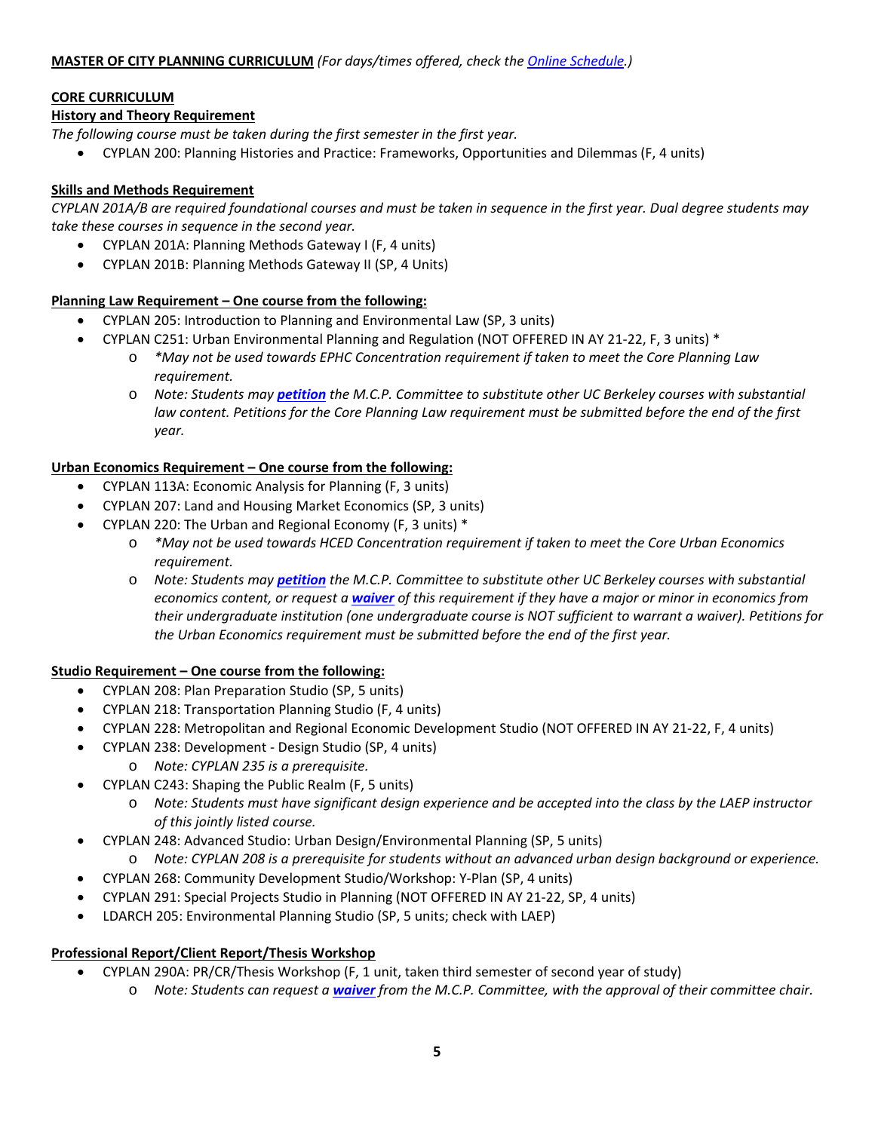# **CORE CURRICULUM**

# **History and Theory Requirement**

- *The following course must be taken during the first semester in the first year.*
	- CYPLAN 200: Planning Histories and Practice: Frameworks, Opportunities and Dilemmas (F, 4 units)

# **Skills and Methods Requirement**

*CYPLAN 201A/B are required foundational courses and must be taken in sequence in the first year. Dual degree students may take these courses in sequence in the second year.*

- CYPLAN 201A: Planning Methods Gateway I (F, 4 units)
- CYPLAN 201B: Planning Methods Gateway II (SP, 4 Units)

# **Planning Law Requirement – One course from the following:**

- CYPLAN 205: Introduction to Planning and Environmental Law (SP, 3 units)
- CYPLAN C251: Urban Environmental Planning and Regulation (NOT OFFERED IN AY 21-22, F, 3 units) \*
	- o *\*May not be used towards EPHC Concentration requirement if taken to meet the Core Planning Law requirement.*
	- o *Note: Students may [petition](https://ced.berkeley.edu/images/uploads/content/Petition_to_Substitute_MCP_Core_Concentration_Requirement_2021.pdf) the M.C.P. Committee to substitute other UC Berkeley courses with substantial law content. Petitions for the Core Planning Law requirement must be submitted before the end of the first year.*

## **Urban Economics Requirement – One course from the following:**

- CYPLAN 113A: Economic Analysis for Planning (F, 3 units)
- CYPLAN 207: Land and Housing Market Economics (SP, 3 units)
- CYPLAN 220: The Urban and Regional Economy (F, 3 units) \*
	- o *\*May not be used towards HCED Concentration requirement if taken to meet the Core Urban Economics requirement.*
	- o *Note: Students may [petition](https://ced.berkeley.edu/images/uploads/content/Petition_to_Substitute_MCP_Core_Concentration_Requirement_2021.pdf) the M.C.P. Committee to substitute other UC Berkeley courses with substantial economics content, or request a [waiver](https://ced.berkeley.edu/images/uploads/content/Petition_to_Substitute_MCP_Core_Concentration_Requirement_2021.pdf) of this requirement if they have a major or minor in economics from their undergraduate institution (one undergraduate course is NOT sufficient to warrant a waiver). Petitions for the Urban Economics requirement must be submitted before the end of the first year.*

## **Studio Requirement – One course from the following:**

- CYPLAN 208: Plan Preparation Studio (SP, 5 units)
- CYPLAN 218: Transportation Planning Studio (F, 4 units)
- CYPLAN 228: Metropolitan and Regional Economic Development Studio (NOT OFFERED IN AY 21-22, F, 4 units)
- CYPLAN 238: Development Design Studio (SP, 4 units)
	- o *Note: CYPLAN 235 is a prerequisite.*
- CYPLAN C243: Shaping the Public Realm (F, 5 units)
	- o *Note: Students must have significant design experience and be accepted into the class by the LAEP instructor of this jointly listed course.*
- CYPLAN 248: Advanced Studio: Urban Design/Environmental Planning (SP, 5 units)
	- o *Note: CYPLAN 208 is a prerequisite for students without an advanced urban design background or experience.*
- CYPLAN 268: Community Development Studio/Workshop: Y-Plan (SP, 4 units)
- CYPLAN 291: Special Projects Studio in Planning (NOT OFFERED IN AY 21-22, SP, 4 units)
- LDARCH 205: Environmental Planning Studio (SP, 5 units; check with LAEP)

## **Professional Report/Client Report/Thesis Workshop**

- CYPLAN 290A: PR/CR/Thesis Workshop (F, 1 unit, taken third semester of second year of study)
	- o *Note: Students can request a [waiver](https://ced.berkeley.edu/images/uploads/content/Petition_to_Substitute_MCP_Core_Concentration_Requirement_2021.pdf) from the M.C.P. Committee, with the approval of their committee chair.*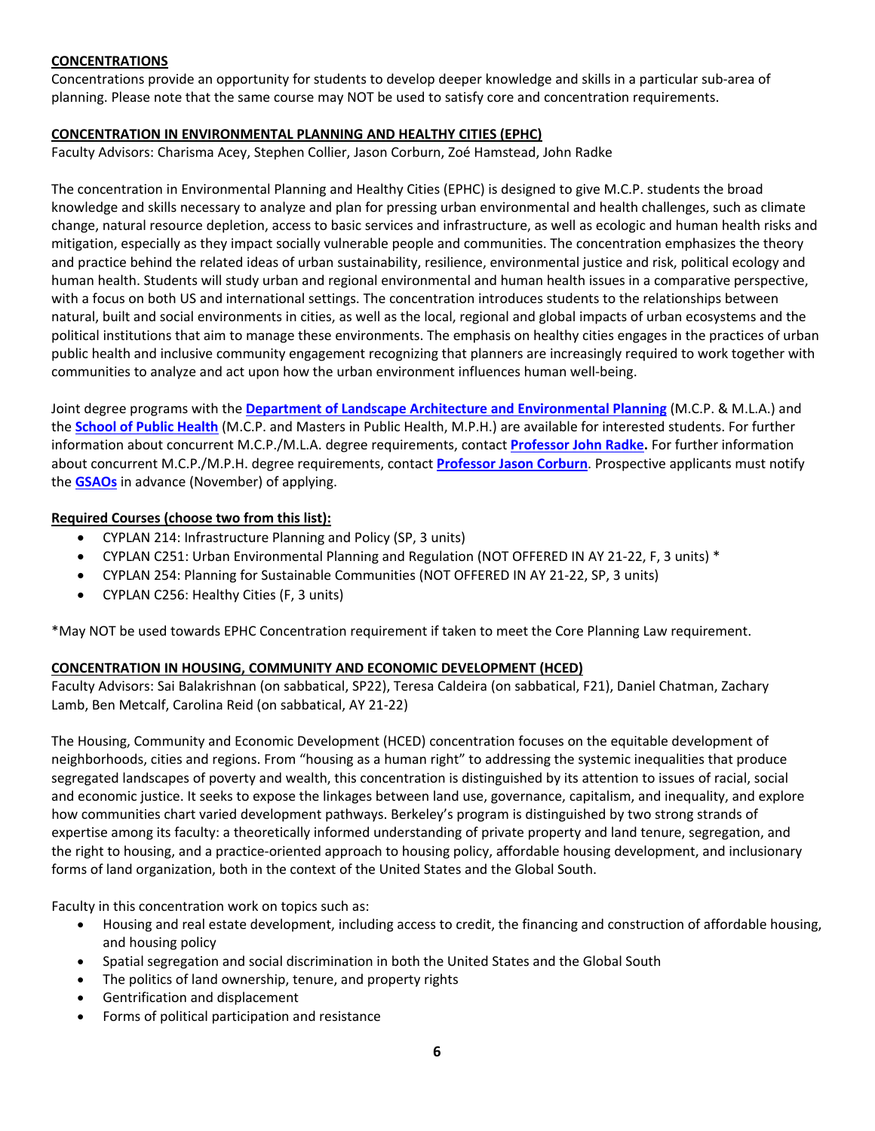#### **CONCENTRATIONS**

Concentrations provide an opportunity for students to develop deeper knowledge and skills in a particular sub-area of planning. Please note that the same course may NOT be used to satisfy core and concentration requirements.

#### **CONCENTRATION IN ENVIRONMENTAL PLANNING AND HEALTHY CITIES (EPHC)**

Faculty Advisors: Charisma Acey, Stephen Collier, Jason Corburn, Zoé Hamstead, John Radke

The concentration in Environmental Planning and Healthy Cities (EPHC) is designed to give M.C.P. students the broad knowledge and skills necessary to analyze and plan for pressing urban environmental and health challenges, such as climate change, natural resource depletion, access to basic services and infrastructure, as well as ecologic and human health risks and mitigation, especially as they impact socially vulnerable people and communities. The concentration emphasizes the theory and practice behind the related ideas of urban sustainability, resilience, environmental justice and risk, political ecology and human health. Students will study urban and regional environmental and human health issues in a comparative perspective, with a focus on both US and international settings. The concentration introduces students to the relationships between natural, built and social environments in cities, as well as the local, regional and global impacts of urban ecosystems and the political institutions that aim to manage these environments. The emphasis on healthy cities engages in the practices of urban public health and inclusive community engagement recognizing that planners are increasingly required to work together with communities to analyze and act upon how the urban environment influences human well-being.

Joint degree programs with the **[Department of Landscape Architecture and Environmental Planning](https://ced.berkeley.edu/academics/landscape-architecture-environmental-planning/)** (M.C.P. & M.L.A.) and the **[School of Public Health](https://publichealth.berkeley.edu/)** (M.C.P. and Masters in Public Health, M.P.H.) are available for interested students. For further information about concurrent M.C.P./M.L.A. degree requirements, contact **[Professor John Radke.](https://ced.berkeley.edu/ced/faculty-staff/john-radke)** For further information about concurrent M.C.P./M.P.H. degree requirements, contact **[Professor Jason Corburn](https://ced.berkeley.edu/ced/faculty-staff/jason-corburn)**. Prospective applicants must notify the **[GSAOs](mailto:dcrpgrad@berkeley.edu)** in advance (November) of applying.

## **Required Courses (choose two from this list):**

- CYPLAN 214: Infrastructure Planning and Policy (SP, 3 units)
- CYPLAN C251: Urban Environmental Planning and Regulation (NOT OFFERED IN AY 21-22, F, 3 units) \*
- CYPLAN 254: Planning for Sustainable Communities (NOT OFFERED IN AY 21-22, SP, 3 units)
- CYPLAN C256: Healthy Cities (F, 3 units)

\*May NOT be used towards EPHC Concentration requirement if taken to meet the Core Planning Law requirement.

## **CONCENTRATION IN HOUSING, COMMUNITY AND ECONOMIC DEVELOPMENT (HCED)**

Faculty Advisors: Sai Balakrishnan (on sabbatical, SP22), Teresa Caldeira (on sabbatical, F21), Daniel Chatman, Zachary Lamb, Ben Metcalf, Carolina Reid (on sabbatical, AY 21-22)

The Housing, Community and Economic Development (HCED) concentration focuses on the equitable development of neighborhoods, cities and regions. From "housing as a human right" to addressing the systemic inequalities that produce segregated landscapes of poverty and wealth, this concentration is distinguished by its attention to issues of racial, social and economic justice. It seeks to expose the linkages between land use, governance, capitalism, and inequality, and explore how communities chart varied development pathways. Berkeley's program is distinguished by two strong strands of expertise among its faculty: a theoretically informed understanding of private property and land tenure, segregation, and the right to housing, and a practice-oriented approach to housing policy, affordable housing development, and inclusionary forms of land organization, both in the context of the United States and the Global South.

Faculty in this concentration work on topics such as:

- Housing and real estate development, including access to credit, the financing and construction of affordable housing, and housing policy
- Spatial segregation and social discrimination in both the United States and the Global South
- The politics of land ownership, tenure, and property rights
- Gentrification and displacement
- Forms of political participation and resistance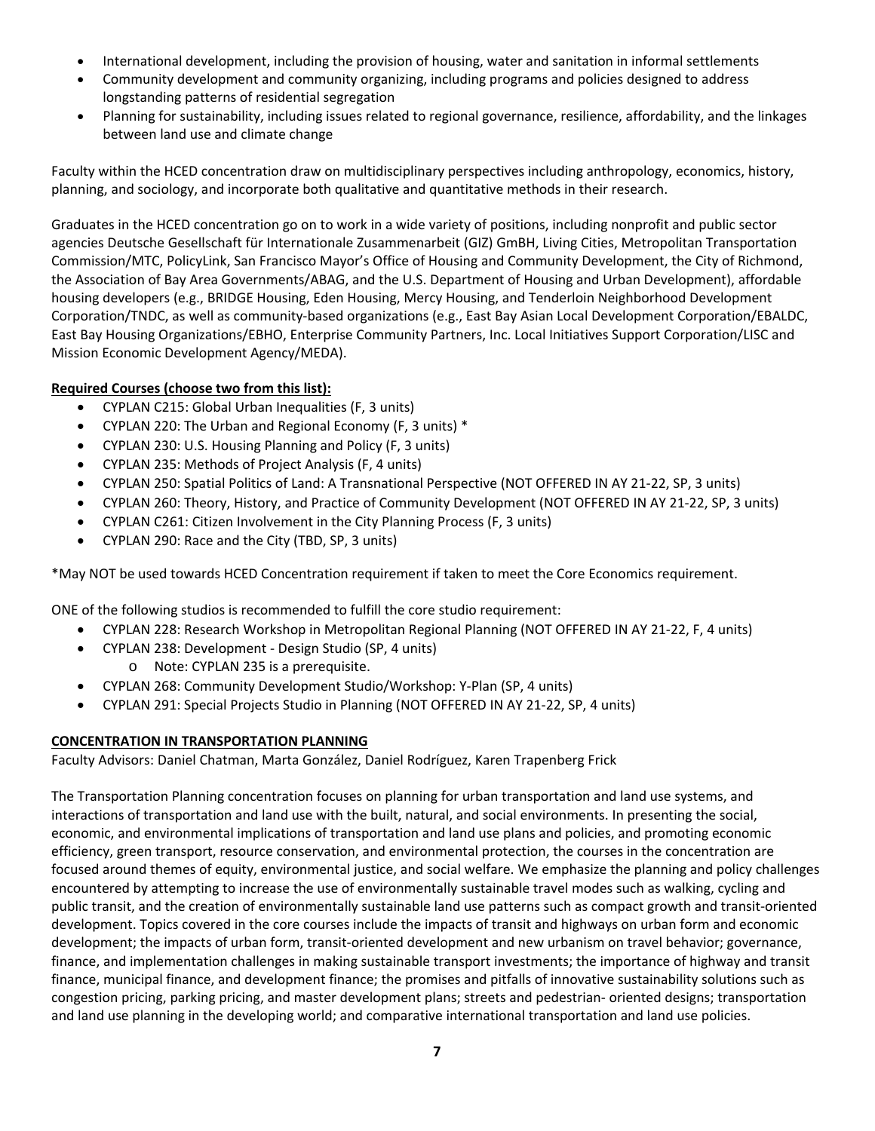- International development, including the provision of housing, water and sanitation in informal settlements
- Community development and community organizing, including programs and policies designed to address longstanding patterns of residential segregation
- Planning for sustainability, including issues related to regional governance, resilience, affordability, and the linkages between land use and climate change

Faculty within the HCED concentration draw on multidisciplinary perspectives including anthropology, economics, history, planning, and sociology, and incorporate both qualitative and quantitative methods in their research.

Graduates in the HCED concentration go on to work in a wide variety of positions, including nonprofit and public sector agencies Deutsche Gesellschaft für Internationale Zusammenarbeit (GIZ) GmBH, Living Cities, Metropolitan Transportation Commission/MTC, PolicyLink, San Francisco Mayor's Office of Housing and Community Development, the City of Richmond, the Association of Bay Area Governments/ABAG, and the U.S. Department of Housing and Urban Development), affordable housing developers (e.g., BRIDGE Housing, Eden Housing, Mercy Housing, and Tenderloin Neighborhood Development Corporation/TNDC, as well as community-based organizations (e.g., East Bay Asian Local Development Corporation/EBALDC, East Bay Housing Organizations/EBHO, Enterprise Community Partners, Inc. Local Initiatives Support Corporation/LISC and Mission Economic Development Agency/MEDA).

# **Required Courses (choose two from this list):**

- CYPLAN C215: Global Urban Inequalities (F, 3 units)
- CYPLAN 220: The Urban and Regional Economy (F, 3 units) \*
- CYPLAN 230: U.S. Housing Planning and Policy (F, 3 units)
- CYPLAN 235: Methods of Project Analysis (F, 4 units)
- CYPLAN 250: Spatial Politics of Land: A Transnational Perspective (NOT OFFERED IN AY 21-22, SP, 3 units)
- CYPLAN 260: Theory, History, and Practice of Community Development (NOT OFFERED IN AY 21-22, SP, 3 units)
- CYPLAN C261: Citizen Involvement in the City Planning Process (F, 3 units)
- CYPLAN 290: Race and the City (TBD, SP, 3 units)

\*May NOT be used towards HCED Concentration requirement if taken to meet the Core Economics requirement.

ONE of the following studios is recommended to fulfill the core studio requirement:

- CYPLAN 228: Research Workshop in Metropolitan Regional Planning (NOT OFFERED IN AY 21-22, F, 4 units)
- CYPLAN 238: Development Design Studio (SP, 4 units)
	- o Note: CYPLAN 235 is a prerequisite.
- CYPLAN 268: Community Development Studio/Workshop: Y-Plan (SP, 4 units)
- CYPLAN 291: Special Projects Studio in Planning (NOT OFFERED IN AY 21-22, SP, 4 units)

## **CONCENTRATION IN TRANSPORTATION PLANNING**

Faculty Advisors: Daniel Chatman, Marta González, Daniel Rodríguez, Karen Trapenberg Frick

The Transportation Planning concentration focuses on planning for urban transportation and land use systems, and interactions of transportation and land use with the built, natural, and social environments. In presenting the social, economic, and environmental implications of transportation and land use plans and policies, and promoting economic efficiency, green transport, resource conservation, and environmental protection, the courses in the concentration are focused around themes of equity, environmental justice, and social welfare. We emphasize the planning and policy challenges encountered by attempting to increase the use of environmentally sustainable travel modes such as walking, cycling and public transit, and the creation of environmentally sustainable land use patterns such as compact growth and transit-oriented development. Topics covered in the core courses include the impacts of transit and highways on urban form and economic development; the impacts of urban form, transit-oriented development and new urbanism on travel behavior; governance, finance, and implementation challenges in making sustainable transport investments; the importance of highway and transit finance, municipal finance, and development finance; the promises and pitfalls of innovative sustainability solutions such as congestion pricing, parking pricing, and master development plans; streets and pedestrian- oriented designs; transportation and land use planning in the developing world; and comparative international transportation and land use policies.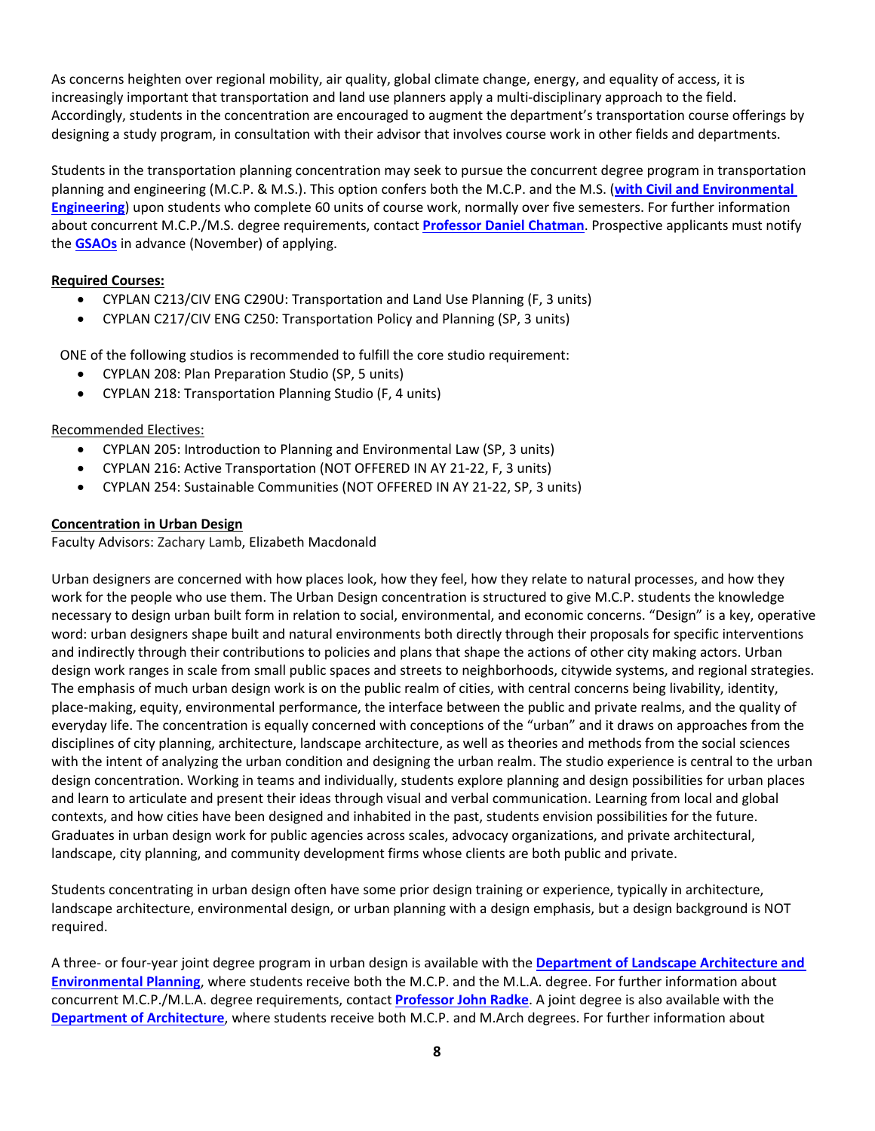As concerns heighten over regional mobility, air quality, global climate change, energy, and equality of access, it is increasingly important that transportation and land use planners apply a multi-disciplinary approach to the field. Accordingly, students in the concentration are encouraged to augment the department's transportation course offerings by designing a study program, in consultation with their advisor that involves course work in other fields and departments.

Students in the transportation planning concentration may seek to pursue the concurrent degree program in transportation planning and engineering (M.C.P. & M.S.). This option confers both the M.C.P. and the M.S. (**[with Civil and Environmental](https://ce.berkeley.edu/)  [Engineering](https://ce.berkeley.edu/)**) upon students who complete 60 units of course work, normally over five semesters. For further information about concurrent M.C.P./M.S. degree requirements, contact **[Professor Daniel Chatman](https://ced.berkeley.edu/ced/faculty-staff/daniel-chatman)**. Prospective applicants must notify the **[GSAOs](mailto:dcrpgrad@berkeley.edu)** in advance (November) of applying.

# **Required Courses:**

- CYPLAN C213/CIV ENG C290U: Transportation and Land Use Planning (F, 3 units)
- CYPLAN C217/CIV ENG C250: Transportation Policy and Planning (SP, 3 units)

ONE of the following studios is recommended to fulfill the core studio requirement:

- CYPLAN 208: Plan Preparation Studio (SP, 5 units)
- CYPLAN 218: Transportation Planning Studio (F, 4 units)

## Recommended Electives:

- CYPLAN 205: Introduction to Planning and Environmental Law (SP, 3 units)
- CYPLAN 216: Active Transportation (NOT OFFERED IN AY 21-22, F, 3 units)
- CYPLAN 254: Sustainable Communities (NOT OFFERED IN AY 21-22, SP, 3 units)

#### **Concentration in Urban Design**

Faculty Advisors: Zachary Lamb, Elizabeth Macdonald

Urban designers are concerned with how places look, how they feel, how they relate to natural processes, and how they work for the people who use them. The Urban Design concentration is structured to give M.C.P. students the knowledge necessary to design urban built form in relation to social, environmental, and economic concerns. "Design" is a key, operative word: urban designers shape built and natural environments both directly through their proposals for specific interventions and indirectly through their contributions to policies and plans that shape the actions of other city making actors. Urban design work ranges in scale from small public spaces and streets to neighborhoods, citywide systems, and regional strategies. The emphasis of much urban design work is on the public realm of cities, with central concerns being livability, identity, place-making, equity, environmental performance, the interface between the public and private realms, and the quality of everyday life. The concentration is equally concerned with conceptions of the "urban" and it draws on approaches from the disciplines of city planning, architecture, landscape architecture, as well as theories and methods from the social sciences with the intent of analyzing the urban condition and designing the urban realm. The studio experience is central to the urban design concentration. Working in teams and individually, students explore planning and design possibilities for urban places and learn to articulate and present their ideas through visual and verbal communication. Learning from local and global contexts, and how cities have been designed and inhabited in the past, students envision possibilities for the future. Graduates in urban design work for public agencies across scales, advocacy organizations, and private architectural, landscape, city planning, and community development firms whose clients are both public and private.

Students concentrating in urban design often have some prior design training or experience, typically in architecture, landscape architecture, environmental design, or urban planning with a design emphasis, but a design background is NOT required.

A three- or four-year joint degree program in urban design is available with the **[Department of Landscape Architecture and](https://ced.berkeley.edu/academics/landscape-architecture-environmental-planning/programs/master-of-landscape-architecture)  [Environmental Planning](https://ced.berkeley.edu/academics/landscape-architecture-environmental-planning/programs/master-of-landscape-architecture)**, where students receive both the M.C.P. and the M.L.A. degree. For further information about concurrent M.C.P./M.L.A. degree requirements, contact **[Professor John Radke](https://ced.berkeley.edu/ced/faculty-staff/john-radke)**. A joint degree is also available with the **[Department of Architecture](https://ced.berkeley.edu/academics/architecture/programs/master-of-architecture/)**, where students receive both M.C.P. and M.Arch degrees. For further information about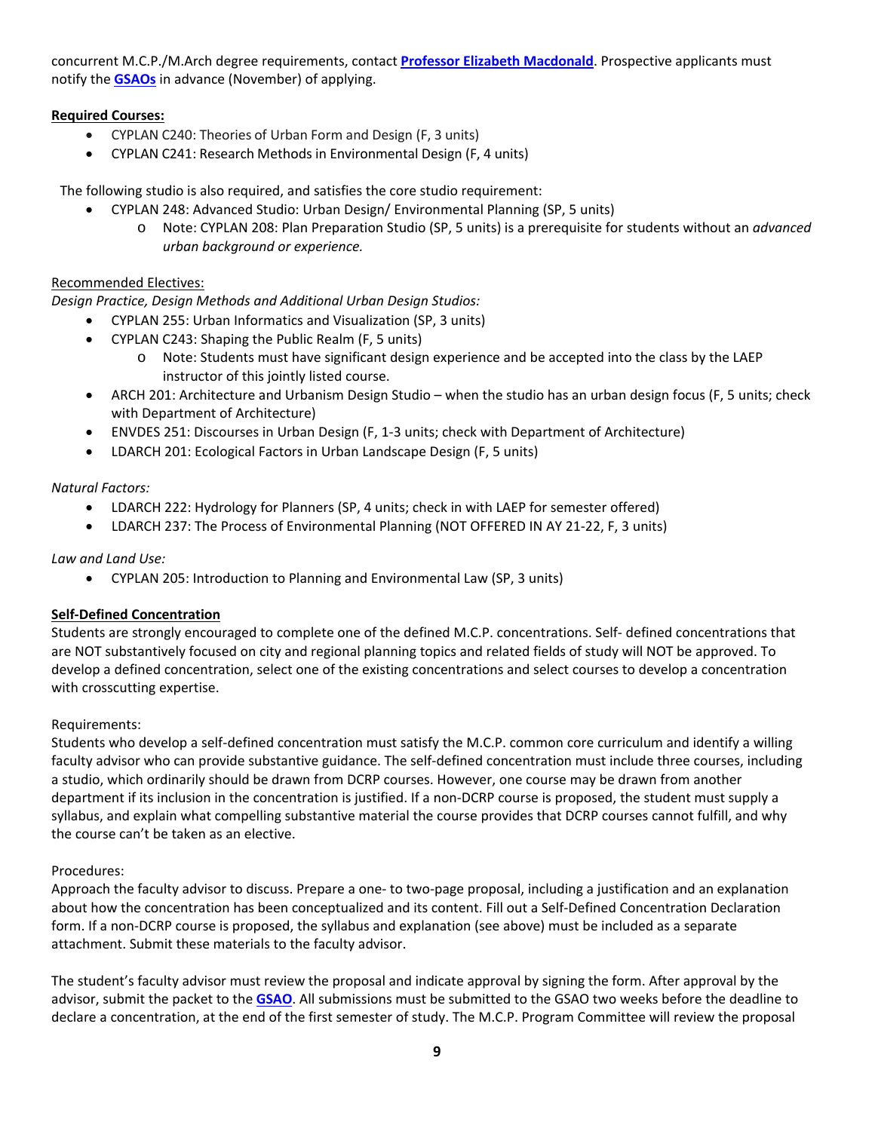concurrent M.C.P./M.Arch degree requirements, contact **[Professor Elizabeth Macdonald](https://ced.berkeley.edu/ced/faculty-staff/elizabeth-macdonald)**. Prospective applicants must notify the **[GSAOs](mailto:dcrpgrad@berkeley.edu)** in advance (November) of applying.

# **Required Courses:**

- CYPLAN C240: Theories of Urban Form and Design (F, 3 units)
- CYPLAN C241: Research Methods in Environmental Design (F, 4 units)

The following studio is also required, and satisfies the core studio requirement:

- CYPLAN 248: Advanced Studio: Urban Design/ Environmental Planning (SP, 5 units)
	- o Note: CYPLAN 208: Plan Preparation Studio (SP, 5 units) is a prerequisite for students without an *advanced urban background or experience.*

# Recommended Electives:

*Design Practice, Design Methods and Additional Urban Design Studios:* 

- CYPLAN 255: Urban Informatics and Visualization (SP, 3 units)
- CYPLAN C243: Shaping the Public Realm (F, 5 units)
	- o Note: Students must have significant design experience and be accepted into the class by the LAEP instructor of this jointly listed course.
- ARCH 201: Architecture and Urbanism Design Studio when the studio has an urban design focus (F, 5 units; check with Department of Architecture)
- ENVDES 251: Discourses in Urban Design (F, 1-3 units; check with Department of Architecture)
- LDARCH 201: Ecological Factors in Urban Landscape Design (F, 5 units)

# *Natural Factors:*

- LDARCH 222: Hydrology for Planners (SP, 4 units; check in with LAEP for semester offered)
- LDARCH 237: The Process of Environmental Planning (NOT OFFERED IN AY 21-22, F, 3 units)

# *Law and Land Use:*

• CYPLAN 205: Introduction to Planning and Environmental Law (SP, 3 units)

## **Self-Defined Concentration**

Students are strongly encouraged to complete one of the defined M.C.P. concentrations. Self- defined concentrations that are NOT substantively focused on city and regional planning topics and related fields of study will NOT be approved. To develop a defined concentration, select one of the existing concentrations and select courses to develop a concentration with crosscutting expertise.

## Requirements:

Students who develop a self-defined concentration must satisfy the M.C.P. common core curriculum and identify a willing faculty advisor who can provide substantive guidance. The self-defined concentration must include three courses, including a studio, which ordinarily should be drawn from DCRP courses. However, one course may be drawn from another department if its inclusion in the concentration is justified. If a non-DCRP course is proposed, the student must supply a syllabus, and explain what compelling substantive material the course provides that DCRP courses cannot fulfill, and why the course can't be taken as an elective.

## Procedures:

Approach the faculty advisor to discuss. Prepare a one- to two-page proposal, including a justification and an explanation about how the concentration has been conceptualized and its content. Fill out a Self-Defined Concentration Declaration form. If a non-DCRP course is proposed, the syllabus and explanation (see above) must be included as a separate attachment. Submit these materials to the faculty advisor.

The student's faculty advisor must review the proposal and indicate approval by signing the form. After approval by the advisor, submit the packet to the **[GSAO](mailto:dcrpgrad@berkeley.edu)**. All submissions must be submitted to the GSAO two weeks before the deadline to declare a concentration, at the end of the first semester of study. The M.C.P. Program Committee will review the proposal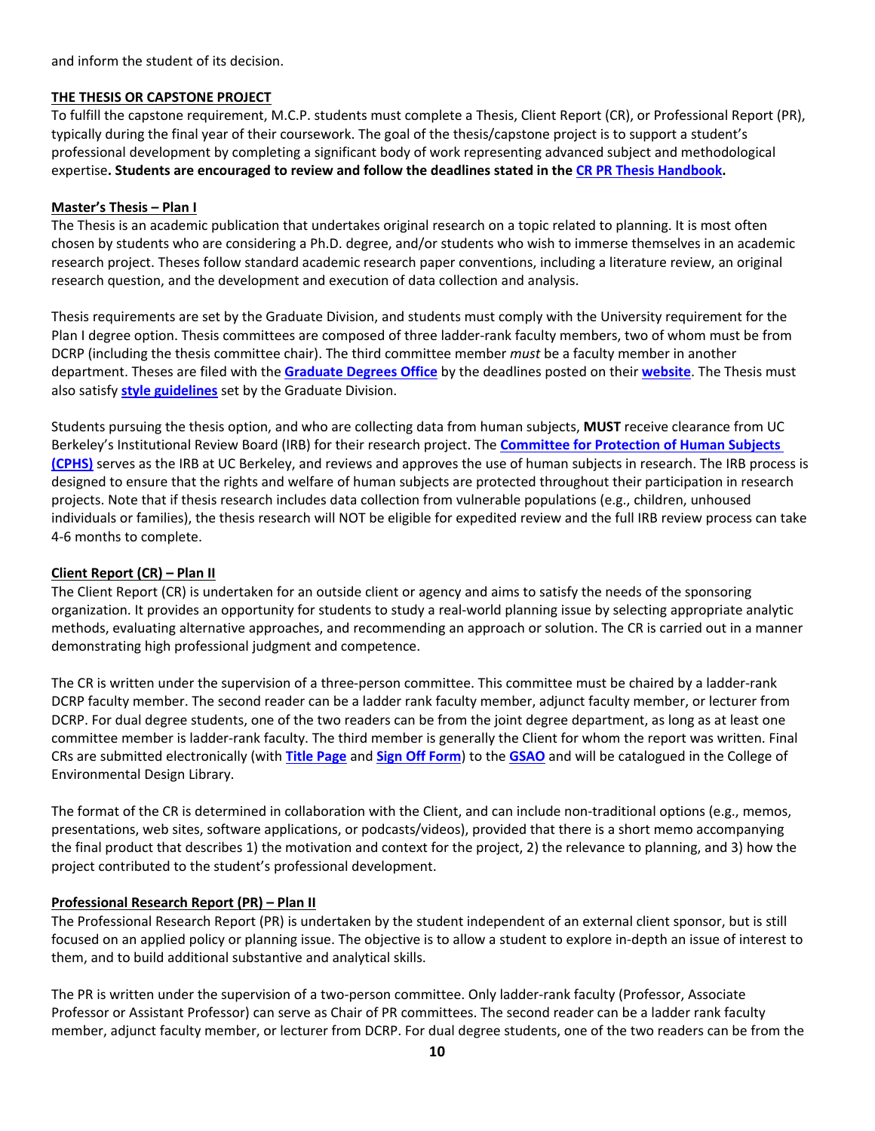and inform the student of its decision.

## **THE THESIS OR CAPSTONE PROJECT**

To fulfill the capstone requirement, M.C.P. students must complete a Thesis, Client Report (CR), or Professional Report (PR), typically during the final year of their coursework. The goal of the thesis/capstone project is to support a student's professional development by completing a significant body of work representing advanced subject and methodological expertise**. Students are encouraged to review and follow the deadlines stated in the [CR PR Thesis](https://ced.berkeley.edu/academics/city-regional-planning/programs/master-of-city-planning) Handbook.**

#### **Master's Thesis – Plan I**

The Thesis is an academic publication that undertakes original research on a topic related to planning. It is most often chosen by students who are considering a Ph.D. degree, and/or students who wish to immerse themselves in an academic research project. Theses follow standard academic research paper conventions, including a literature review, an original research question, and the development and execution of data collection and analysis.

Thesis requirements are set by the Graduate Division, and students must comply with the University requirement for the Plan I degree option. Thesis committees are composed of three ladder-rank faculty members, two of whom must be from DCRP (including the thesis committee chair). The third committee member *must* be a faculty member in another department. Theses are filed with the **[Graduate Degrees Office](https://grad.berkeley.edu/academic-progress/advising/)** by the deadlines posted on their **[website](https://grad.berkeley.edu/academic-progress/deadlines/)**. The Thesis must also satisfy **[style guidelines](https://grad.berkeley.edu/academic-progress/thesis/)** set by the Graduate Division.

Students pursuing the thesis option, and who are collecting data from human subjects, **MUST** receive clearance from UC Berkeley's Institutional Review Board (IRB) for their research project. The **[Committee for Protection of Human Subjects](https://cphs.berkeley.edu/)  [\(CPHS\)](https://cphs.berkeley.edu/)** serves as the IRB at UC Berkeley, and reviews and approves the use of human subjects in research. The IRB process is designed to ensure that the rights and welfare of human subjects are protected throughout their participation in research projects. Note that if thesis research includes data collection from vulnerable populations (e.g., children, unhoused individuals or families), the thesis research will NOT be eligible for expedited review and the full IRB review process can take 4-6 months to complete.

#### **Client Report (CR) – Plan II**

The Client Report (CR) is undertaken for an outside client or agency and aims to satisfy the needs of the sponsoring organization. It provides an opportunity for students to study a real-world planning issue by selecting appropriate analytic methods, evaluating alternative approaches, and recommending an approach or solution. The CR is carried out in a manner demonstrating high professional judgment and competence.

The CR is written under the supervision of a three-person committee. This committee must be chaired by a ladder-rank DCRP faculty member. The second reader can be a ladder rank faculty member, adjunct faculty member, or lecturer from DCRP. For dual degree students, one of the two readers can be from the joint degree department, as long as at least one committee member is ladder-rank faculty. The third member is generally the Client for whom the report was written. Final CRs are submitted electronically (with **[Title Page](https://ced.berkeley.edu/images/uploads/content/PR_CR_Title_Page_Template.pdf)** and **[Sign Off Form](https://ced.berkeley.edu/images/uploads/content/MCP_PR_CR_Sign-Off_Form.pdf)**) to the **[GSAO](mailto:dcrpgrad@berkeley.edu)** and will be catalogued in the College of Environmental Design Library.

The format of the CR is determined in collaboration with the Client, and can include non-traditional options (e.g., memos, presentations, web sites, software applications, or podcasts/videos), provided that there is a short memo accompanying the final product that describes 1) the motivation and context for the project, 2) the relevance to planning, and 3) how the project contributed to the student's professional development.

#### **Professional Research Report (PR) – Plan II**

The Professional Research Report (PR) is undertaken by the student independent of an external client sponsor, but is still focused on an applied policy or planning issue. The objective is to allow a student to explore in-depth an issue of interest to them, and to build additional substantive and analytical skills.

The PR is written under the supervision of a two-person committee. Only ladder-rank faculty (Professor, Associate Professor or Assistant Professor) can serve as Chair of PR committees. The second reader can be a ladder rank faculty member, adjunct faculty member, or lecturer from DCRP. For dual degree students, one of the two readers can be from the